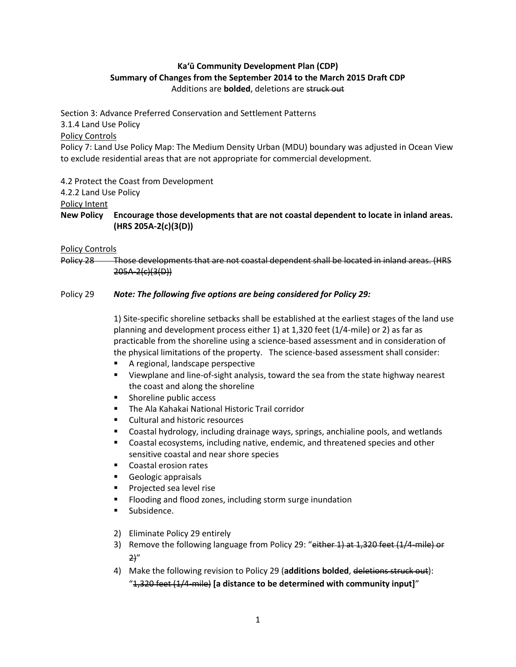# **Ka'ū Community Development Plan (CDP) Summary of Changes from the September 2014 to the March 2015 Draft CDP** Additions are **bolded**, deletions are struck out

Section 3: Advance Preferred Conservation and Settlement Patterns 3.1.4 Land Use Policy Policy Controls Policy 7: Land Use Policy Map: The Medium Density Urban (MDU) boundary was adjusted in Ocean View to exclude residential areas that are not appropriate for commercial development.

4.2 Protect the Coast from Development

4.2.2 Land Use Policy

Policy Intent

**New Policy Encourage those developments that are not coastal dependent to locate in inland areas. (HRS 205A-2(c)(3(D))**

#### Policy Controls

Policy 28 Those developments that are not coastal dependent shall be located in inland areas. (HRS 205A-2(c)(3(D))

### Policy 29 *Note: The following five options are being considered for Policy 29:*

1) Site-specific shoreline setbacks shall be established at the earliest stages of the land use planning and development process either 1) at 1,320 feet (1/4-mile) or 2) as far as practicable from the shoreline using a science-based assessment and in consideration of the physical limitations of the property. The science-based assessment shall consider:

- A regional, landscape perspective
- Viewplane and line-of-sight analysis, toward the sea from the state highway nearest the coast and along the shoreline
- **Shoreline public access**
- The Ala Kahakai National Historic Trail corridor
- Cultural and historic resources
- Coastal hydrology, including drainage ways, springs, anchialine pools, and wetlands
- Coastal ecosystems, including native, endemic, and threatened species and other sensitive coastal and near shore species
- Coastal erosion rates
- Geologic appraisals
- Projected sea level rise
- Flooding and flood zones, including storm surge inundation
- **Subsidence.**
- 2) Eliminate Policy 29 entirely
- 3) Remove the following language from Policy 29: "either 1) at 1,320 feet (1/4-mile) or  $2)''$
- 4) Make the following revision to Policy 29 (**additions bolded**, deletions struck out): "1,320 feet (1/4-mile) **[a distance to be determined with community input]**"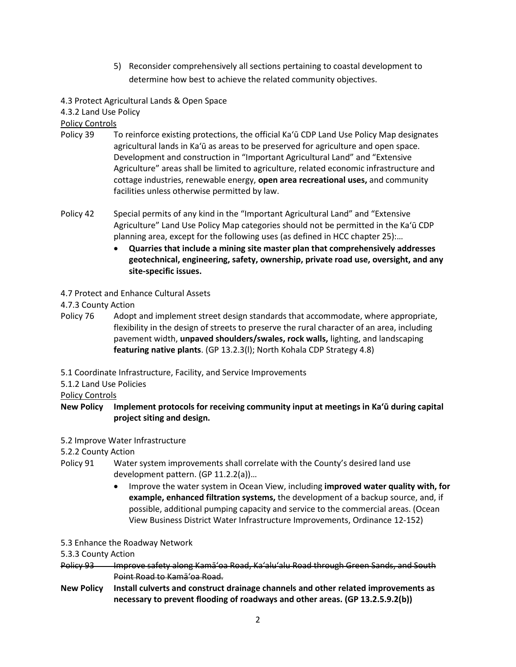5) Reconsider comprehensively all sections pertaining to coastal development to determine how best to achieve the related community objectives.

4.3 Protect Agricultural Lands & Open Space

4.3.2 Land Use Policy

Policy Controls

- Policy 39 To reinforce existing protections, the official Ka'ū CDP Land Use Policy Map designates agricultural lands in Ka'ū as areas to be preserved for agriculture and open space. Development and construction in "Important Agricultural Land" and "Extensive Agriculture" areas shall be limited to agriculture, related economic infrastructure and cottage industries, renewable energy, **open area recreational uses,** and community facilities unless otherwise permitted by law.
- Policy 42 Special permits of any kind in the "Important Agricultural Land" and "Extensive Agriculture" Land Use Policy Map categories should not be permitted in the Ka'ū CDP planning area, except for the following uses (as defined in HCC chapter 25):…
	- **Quarries that include a mining site master plan that comprehensively addresses geotechnical, engineering, safety, ownership, private road use, oversight, and any site-specific issues.**
- 4.7 Protect and Enhance Cultural Assets

4.7.3 County Action

- Policy 76 Adopt and implement street design standards that accommodate, where appropriate, flexibility in the design of streets to preserve the rural character of an area, including pavement width, **unpaved shoulders/swales, rock walls,** lighting, and landscaping **featuring native plants**. (GP 13.2.3(l); North Kohala CDP Strategy 4.8)
- 5.1 Coordinate Infrastructure, Facility, and Service Improvements
- 5.1.2 Land Use Policies

Policy Controls

- **New Policy Implement protocols for receiving community input at meetings in Ka'ū during capital project siting and design.**
- 5.2 Improve Water Infrastructure

5.2.2 County Action

- Policy 91 Water system improvements shall correlate with the County's desired land use development pattern. (GP 11.2.2(a))…
	- Improve the water system in Ocean View, including **improved water quality with, for example, enhanced filtration systems,** the development of a backup source, and, if possible, additional pumping capacity and service to the commercial areas. (Ocean View Business District Water Infrastructure Improvements, Ordinance 12-152)
- 5.3 Enhance the Roadway Network

5.3.3 County Action

- Policy 93 Improve safety along Kamā'oa Road, Ka'alu'alu Road through Green Sands, and South Point Road to Kamā'oa Road.
- **New Policy Install culverts and construct drainage channels and other related improvements as necessary to prevent flooding of roadways and other areas. (GP 13.2.5.9.2(b))**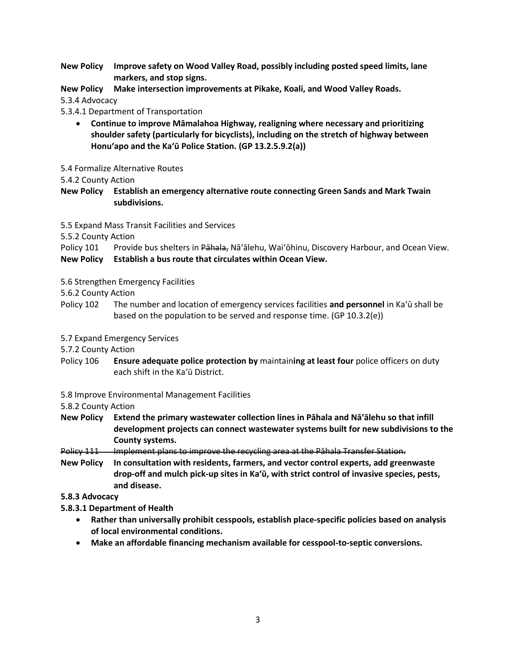**New Policy Improve safety on Wood Valley Road, possibly including posted speed limits, lane markers, and stop signs.**

**New Policy Make intersection improvements at Pikake, Koali, and Wood Valley Roads.**

5.3.4 Advocacy

5.3.4.1 Department of Transportation

 **Continue to improve Māmalahoa Highway, realigning where necessary and prioritizing shoulder safety (particularly for bicyclists), including on the stretch of highway between Honuʻapo and the Ka'ū Police Station. (GP 13.2.5.9.2(a))**

5.4 Formalize Alternative Routes

5.4.2 County Action

**New Policy Establish an emergency alternative route connecting Green Sands and Mark Twain subdivisions.**

5.5 Expand Mass Transit Facilities and Services

5.5.2 County Action

Policy 101 Provide bus shelters in Pahala, Nā'ālehu, Wai'ōhinu, Discovery Harbour, and Ocean View. **New Policy Establish a bus route that circulates within Ocean View.**

5.6 Strengthen Emergency Facilities

5.6.2 County Action

- Policy 102 The number and location of emergency services facilities **and personnel** in Ka'ū shall be based on the population to be served and response time. (GP 10.3.2(e))
- 5.7 Expand Emergency Services

5.7.2 County Action

Policy 106 **Ensure adequate police protection by** maintain**ing at least four** police officers on duty each shift in the Ka'ū District.

5.8 Improve Environmental Management Facilities

5.8.2 County Action

- **New Policy Extend the primary wastewater collection lines in Pāhala and Nāʻālehu so that infill development projects can connect wastewater systems built for new subdivisions to the County systems.**
- Policy 111 Implement plans to improve the recycling area at the Pāhala Transfer Station.
- **New Policy In consultation with residents, farmers, and vector control experts, add greenwaste drop-off and mulch pick-up sites in Ka'ū, with strict control of invasive species, pests, and disease.**

### **5.8.3 Advocacy**

**5.8.3.1 Department of Health**

- **Rather than universally prohibit cesspools, establish place-specific policies based on analysis of local environmental conditions.**
- **Make an affordable financing mechanism available for cesspool-to-septic conversions.**